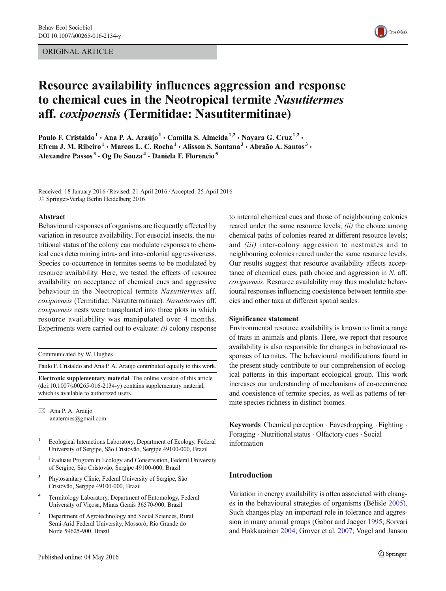# ORIGINAL ARTICLE



# Resource availability influences aggression and response to chemical cues in the Neotropical termite Nasutitermes aff. coxipoensis (Termitidae: Nasutitermitinae)

Paulo F. Cristaldo<sup>1</sup> · Ana P. A. Araújo<sup>1</sup> · Camilla S. Almeida<sup>1,2</sup> · Nayara G. Cruz<sup>1,2</sup> · Efrem J. M. Ribeiro<sup>1</sup> · Marcos L. C. Rocha<sup>1</sup> · Alisson S. Santana<sup>3</sup> · Abraão A. Santos<sup>3</sup> · Alexandre Passos<sup>3</sup> • Og De Souza<sup>4</sup> • Daniela F. Florencio<sup>5</sup>

Received: 18 January 2016 /Revised: 21 April 2016 /Accepted: 25 April 2016  $\oslash$  Springer-Verlag Berlin Heidelberg 2016

#### Abstract

Behavioural responses of organisms are frequently affected by variation in resource availability. For eusocial insects, the nutritional status of the colony can modulate responses to chemical cues determining intra- and inter-colonial aggressiveness. Species co-occurrence in termites seems to be modulated by resource availability. Here, we tested the effects of resource availability on acceptance of chemical cues and aggressive behaviour in the Neotropical termite Nasutitermes aff. coxipoensis (Termitidae: Nasutitermitinae). Nasutitermes aff. coxipoensis nests were transplanted into three plots in which resource availability was manipulated over 4 months. Experiments were carried out to evaluate: (i) colony response

Communicated by W. Hughes

Paulo F. Cristaldo and Ana P. A. Araújo contributed equally to this work.

Electronic supplementary material The online version of this article (doi[:10.1007/s00265-016-2134-y](http://dx.doi.org/)) contains supplementary material, which is available to authorized users.

 $\boxtimes$  Ana P. A. Araújo anatermes@gmail.com

- <sup>1</sup> Ecological Interactions Laboratory, Department of Ecology, Federal University of Sergipe, São Cristóvão, Sergipe 49100-000, Brazil
- <sup>2</sup> Graduate Program in Ecology and Conservation, Federal University of Sergipe, São Cristovão, Sergipe 49100-000, Brazil
- <sup>3</sup> Phytosanitary Clinic, Federal University of Sergipe, São Cristóvão, Sergipe 49100-000, Brazil
- Termitology Laboratory, Department of Entomology, Federal University of Viçosa, Minas Gerais 36570-900, Brazil
- <sup>5</sup> Department of Agrotechnology and Social Sciences, Rural Semi-Arid Federal University, Mossoró, Rio Grande do Norte 59625-900, Brazil

to internal chemical cues and those of neighbouring colonies reared under the same resource levels; *(ii)* the choice among chemical paths of colonies reared at different resource levels; and *(iii)* inter-colony aggression to nestmates and to neighbouring colonies reared under the same resource levels. Our results suggest that resource availability affects acceptance of chemical cues, path choice and aggression in N. aff. coxipoensis. Resource availability may thus modulate behavioural responses influencing coexistence between termite species and other taxa at different spatial scales.

#### Significance statement

Environmental resource availability is known to limit a range of traits in animals and plants. Here, we report that resource availability is also responsible for changes in behavioural responses of termites. The behavioural modifications found in the present study contribute to our comprehension of ecological patterns in this important ecological group. This work increases our understanding of mechanisms of co-occurrence and coexistence of termite species, as well as patterns of termite species richness in distinct biomes.

Keywords Chemical perception . Eavesdropping . Fighting . Foraging . Nutritional status . Olfactory cues . Social information

# Introduction

Variation in energy availability is often associated with changes in the behavioural strategies of organisms (Bélisle [2005\)](#page-7-0). Such changes play an important role in tolerance and aggression in many animal groups (Gabor and Jaeger [1995;](#page-7-0) Sorvari and Hakkarainen [2004](#page-7-0); Grover et al. [2007;](#page-7-0) Vogel and Janson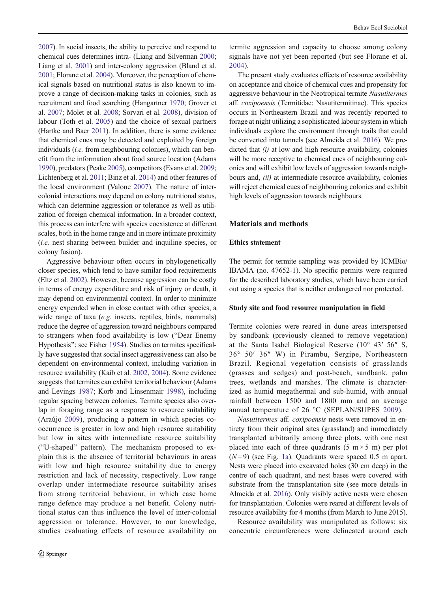<span id="page-1-0"></span>[2007\)](#page-8-0). In social insects, the ability to perceive and respond to chemical cues determines intra- (Liang and Silverman [2000](#page-7-0); Liang et al. [2001\)](#page-7-0) and inter-colony aggression (Bland et al. [2001;](#page-7-0) Florane et al. [2004](#page-7-0)). Moreover, the perception of chemical signals based on nutritional status is also known to improve a range of decision-making tasks in colonies, such as recruitment and food searching (Hangartner [1970;](#page-7-0) Grover et al. [2007](#page-7-0); Molet et al. [2008;](#page-7-0) Sorvari et al. [2008\)](#page-7-0), division of labour (Toth et al. [2005\)](#page-7-0) and the choice of sexual partners (Hartke and Baer [2011\)](#page-7-0). In addition, there is some evidence that chemical cues may be detected and exploited by foreign individuals (*i.e.* from neighbouring colonies), which can benefit from the information about food source location (Adams [1990\)](#page-7-0), predators (Peake [2005](#page-7-0)), competitors (Evans et al. [2009](#page-7-0); Lichtenberg et al. [2011;](#page-7-0) Binz et al. [2014\)](#page-7-0) and other features of the local environment (Valone [2007\)](#page-8-0). The nature of intercolonial interactions may depend on colony nutritional status, which can determine aggression or tolerance as well as utilization of foreign chemical information. In a broader context, this process can interfere with species coexistence at different scales, both in the home range and in more intimate proximity (i.e. nest sharing between builder and inquiline species, or colony fusion).

Aggressive behaviour often occurs in phylogenetically closer species, which tend to have similar food requirements (Eltz et al. [2002\)](#page-7-0). However, because aggression can be costly in terms of energy expenditure and risk of injury or death, it may depend on environmental context. In order to minimize energy expended when in close contact with other species, a wide range of taxa (e.g. insects, reptiles, birds, mammals) reduce the degree of aggression toward neighbours compared to strangers when food availability is low ("Dear Enemy Hypothesis"; see Fisher [1954](#page-7-0)). Studies on termites specifically have suggested that social insect aggressiveness can also be dependent on environmental context, including variation in resource availability (Kaib et al. [2002](#page-7-0), [2004\)](#page-7-0). Some evidence suggests that termites can exhibit territorial behaviour (Adams and Levings [1987;](#page-7-0) Korb and Linsenmair [1998](#page-7-0)), including regular spacing between colonies. Termite species also overlap in foraging range as a response to resource suitability (Araújo [2009\)](#page-7-0), producing a pattern in which species cooccurrence is greater in low and high resource suitability but low in sites with intermediate resource suitability ("U-shaped" pattern). The mechanism proposed to explain this is the absence of territorial behaviours in areas with low and high resource suitability due to energy restriction and lack of necessity, respectively. Low range overlap under intermediate resource suitability arises from strong territorial behaviour, in which case home range defence may produce a net benefit. Colony nutritional status can thus influence the level of inter-colonial aggression or tolerance. However, to our knowledge, studies evaluating effects of resource availability on

termite aggression and capacity to choose among colony signals have not yet been reported (but see Florane et al. [2004](#page-7-0)).

The present study evaluates effects of resource availability on acceptance and choice of chemical cues and propensity for aggressive behaviour in the Neotropical termite Nasutitermes aff. coxipoensis (Termitidae: Nasutitermitinae). This species occurs in Northeastern Brazil and was recently reported to forage at night utilizing a sophisticated labour system in which individuals explore the environment through trails that could be converted into tunnels (see Almeida et al. [2016\)](#page-7-0). We predicted that  $(i)$  at low and high resource availability, colonies will be more receptive to chemical cues of neighbouring colonies and will exhibit low levels of aggression towards neighbours and, *(ii)* at intermediate resource availability, colonies will reject chemical cues of neighbouring colonies and exhibit high levels of aggression towards neighbours.

# Materials and methods

# Ethics statement

The permit for termite sampling was provided by ICMBio/ IBAMA (no. 47652-1). No specific permits were required for the described laboratory studies, which have been carried out using a species that is neither endangered nor protected.

#### Study site and food resource manipulation in field

Termite colonies were reared in dune areas interspersed by sandbank (previously cleaned to remove vegetation) at the Santa Isabel Biological Reserve (10° 43′ 56″ S, 36° 50′ 36″ W) in Pirambu, Sergipe, Northeastern Brazil. Regional vegetation consists of grasslands (grasses and sedges) and post-beach, sandbank, palm trees, wetlands and marshes. The climate is characterized as humid megathermal and sub-humid, with annual rainfall between 1500 and 1800 mm and an average annual temperature of 26 °C (SEPLAN/SUPES [2009](#page-7-0)).

Nasutitermes aff. coxipoensis nests were removed in entirety from their original sites (grassland) and immediately transplanted arbitrarily among three plots, with one nest placed into each of three quadrants  $(5 \text{ m} \times 5 \text{ m})$  per plot  $(N= 9)$  (see Fig. [1a\)](#page-2-0). Quadrants were spaced 0.5 m apart. Nests were placed into excavated holes (30 cm deep) in the centre of each quadrant, and nest bases were covered with substrate from the transplantation site (see more details in Almeida et al. [2016](#page-7-0)). Only visibly active nests were chosen for transplantation. Colonies were reared at different levels of resource availability for 4 months (from March to June 2015).

Resource availability was manipulated as follows: six concentric circumferences were delineated around each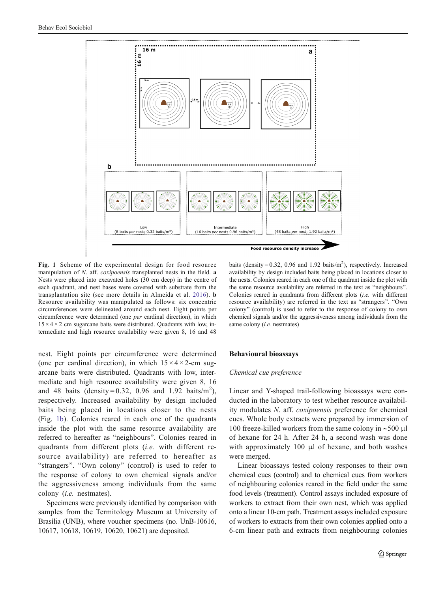<span id="page-2-0"></span>

Fig. 1 Scheme of the experimental design for food resource manipulation of N. aff. coxipoensis transplanted nests in the field. a Nests were placed into excavated holes (30 cm deep) in the centre of each quadrant, and nest bases were covered with substrate from the transplantation site (see more details in Almeida et al. [2016\)](#page-7-0). b Resource availability was manipulated as follows: six concentric circumferences were delineated around each nest. Eight points per circumference were determined (one per cardinal direction), in which  $15 \times 4 \times 2$  cm sugarcane baits were distributed. Quadrants with low, intermediate and high resource availability were given 8, 16 and 48

nest. Eight points per circumference were determined (one per cardinal direction), in which  $15 \times 4 \times 2$ -cm sugarcane baits were distributed. Quadrants with low, intermediate and high resource availability were given 8, 16 and 48 baits (density = 0.32, 0.96 and 1.92 baits/m<sup>2</sup>), respectively. Increased availability by design included baits being placed in locations closer to the nests (Fig. 1b). Colonies reared in each one of the quadrants inside the plot with the same resource availability are referred to hereafter as "neighbours". Colonies reared in quadrants from different plots (i.e. with different resource availability) are referred to hereafter as "strangers". "Own colony" (control) is used to refer to the response of colony to own chemical signals and/or the aggressiveness among individuals from the same colony (i.e. nestmates).

Specimens were previously identified by comparison with samples from the Termitology Museum at University of Brasília (UNB), where voucher specimens (no. UnB-10616, 10617, 10618, 10619, 10620, 10621) are deposited.

baits (density =  $0.32$ , 0.96 and 1.92 baits/m<sup>2</sup>), respectively. Increased availability by design included baits being placed in locations closer to the nests. Colonies reared in each one of the quadrant inside the plot with the same resource availability are referred in the text as "neighbours". Colonies reared in quadrants from different plots (i.e. with different resource availability) are referred in the text as "strangers". "Own colony^ (control) is used to refer to the response of colony to own chemical signals and/or the aggressiveness among individuals from the same colony (i.e. nestmates)

#### Behavioural bioassays

#### Chemical cue preference

Linear and Y-shaped trail-following bioassays were conducted in the laboratory to test whether resource availability modulates N. aff. coxipoensis preference for chemical cues. Whole body extracts were prepared by immersion of 100 freeze-killed workers from the same colony in ∼500 μl of hexane for 24 h. After 24 h, a second wash was done with approximately 100 μl of hexane, and both washes were merged.

Linear bioassays tested colony responses to their own chemical cues (control) and to chemical cues from workers of neighbouring colonies reared in the field under the same food levels (treatment). Control assays included exposure of workers to extract from their own nest, which was applied onto a linear 10-cm path. Treatment assays included exposure of workers to extracts from their own colonies applied onto a 6-cm linear path and extracts from neighbouring colonies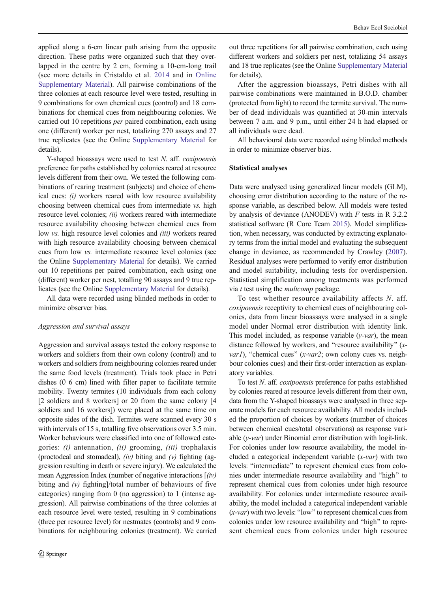applied along a 6-cm linear path arising from the opposite direction. These paths were organized such that they overlapped in the centre by 2 cm, forming a 10-cm-long trail (see more details in Cristaldo et al. [2014](#page-7-0) and in Online Supplementary Material). All pairwise combinations of the three colonies at each resource level were tested, resulting in 9 combinations for own chemical cues (control) and 18 combinations for chemical cues from neighbouring colonies. We carried out 10 repetitions per paired combination, each using one (different) worker per nest, totalizing 270 assays and 27 true replicates (see the Online Supplementary Material for details).

Y-shaped bioassays were used to test N. aff. coxipoensis preference for paths established by colonies reared at resource levels different from their own. We tested the following combinations of rearing treatment (subjects) and choice of chemical cues: (i) workers reared with low resource availability choosing between chemical cues from intermediate vs. high resource level colonies; (ii) workers reared with intermediate resource availability choosing between chemical cues from low vs. high resource level colonies and *(iii)* workers reared with high resource availability choosing between chemical cues from low vs. intermediate resource level colonies (see the Online Supplementary Material for details). We carried out 10 repetitions per paired combination, each using one (different) worker per nest, totalling 90 assays and 9 true replicates (see the Online Supplementary Material for details).

All data were recorded using blinded methods in order to minimize observer bias.

## Aggression and survival assays

Aggression and survival assays tested the colony response to workers and soldiers from their own colony (control) and to workers and soldiers from neighbouring colonies reared under the same food levels (treatment). Trials took place in Petri dishes ( $\theta$  6 cm) lined with filter paper to facilitate termite mobility. Twenty termites (10 individuals from each colony [2 soldiers and 8 workers] or 20 from the same colony [4 soldiers and 16 workers]) were placed at the same time on opposite sides of the dish. Termites were scanned every 30 s with intervals of 15 s, totalling five observations over 3.5 min. Worker behaviours were classified into one of followed categories: (i) antennation, (ii) grooming, (iii) trophalaxis (proctodeal and stomadeal),  $(iv)$  biting and  $(v)$  fighting (aggression resulting in death or severe injury). We calculated the mean Aggression Index (number of negative interactions [(iv) biting and  $(v)$  fighting]/total number of behaviours of five categories) ranging from 0 (no aggression) to 1 (intense aggression). All pairwise combinations of the three colonies at each resource level were tested, resulting in 9 combinations (three per resource level) for nestmates (controls) and 9 combinations for neighbouring colonies (treatment). We carried

out three repetitions for all pairwise combination, each using different workers and soldiers per nest, totalizing 54 assays and 18 true replicates (see the Online Supplementary Material for details).

After the aggression bioassays, Petri dishes with all pairwise combinations were maintained in B.O.D. chamber (protected from light) to record the termite survival. The number of dead individuals was quantified at 30-min intervals between 7 a.m. and 9 p.m., until either 24 h had elapsed or all individuals were dead.

All behavioural data were recorded using blinded methods in order to minimize observer bias.

## Statistical analyses

Data were analysed using generalized linear models (GLM), choosing error distribution according to the nature of the response variable, as described below. All models were tested by analysis of deviance (ANODEV) with  $F$  tests in R 3.2.2 statistical software (R Core Team [2015\)](#page-7-0). Model simplification, when necessary, was conducted by extracting explanatory terms from the initial model and evaluating the subsequent change in deviance, as recommended by Crawley [\(2007](#page-7-0)). Residual analyses were performed to verify error distribution and model suitability, including tests for overdispersion. Statistical simplification among treatments was performed via *t* test using the *multcomp* package.

To test whether resource availability affects N. aff. coxipoensis receptivity to chemical cues of neighbouring colonies, data from linear bioassays were analysed in a single model under Normal error distribution with identity link. This model included, as response variable  $(y$ -var), the mean distance followed by workers, and "resource availability"  $(x$ var1), "chemical cues" (x-var2; own colony cues vs. neighbour colonies cues) and their first-order interaction as explanatory variables.

To test N. aff. coxipoensis preference for paths established by colonies reared at resource levels different from their own, data from the Y-shaped bioassays were analysed in three separate models for each resource availability. All models included the proportion of choices by workers (number of choices between chemical cues/total observations) as response variable (y-var) under Binomial error distribution with logit-link. For colonies under low resource availability, the model included a categorical independent variable  $(x-var)$  with two levels: "intermediate" to represent chemical cues from colonies under intermediate resource availability and "high" to represent chemical cues from colonies under high resource availability. For colonies under intermediate resource availability, the model included a categorical independent variable  $(x-var)$  with two levels: "low" to represent chemical cues from colonies under low resource availability and "high" to represent chemical cues from colonies under high resource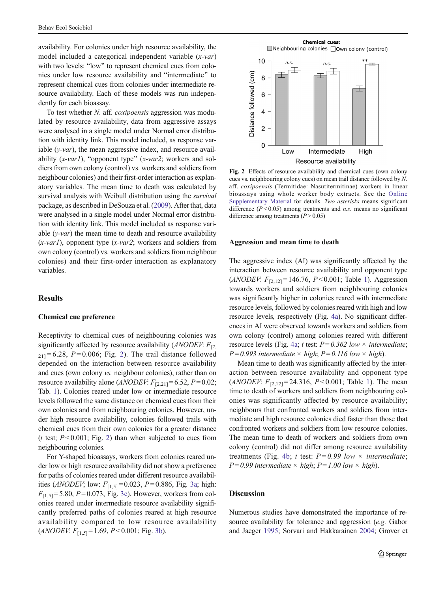<span id="page-4-0"></span>availability. For colonies under high resource availability, the model included a categorical independent variable  $(x-var)$ with two levels: "low" to represent chemical cues from colonies under low resource availability and "intermediate" to represent chemical cues from colonies under intermediate resource availability. Each of these models was run independently for each bioassay.

To test whether N. aff. coxipoensis aggression was modulated by resource availability, data from aggressive assays were analysed in a single model under Normal error distribution with identity link. This model included, as response variable  $(y-var)$ , the mean aggressive index, and resource availability  $(x$ -var1), "opponent type"  $(x$ -var2; workers and soldiers from own colony (control) vs. workers and soldiers from neighbour colonies) and their first-order interaction as explanatory variables. The mean time to death was calculated by survival analysis with Weibull distribution using the *survival* package, as described in DeSouza et al. [\(2009\)](#page-7-0). After that, data were analysed in a single model under Normal error distribution with identity link. This model included as response variable  $(\nu$ -*var*) the mean time to death and resource availability  $(x$ -var1), opponent type  $(x$ -var2; workers and soldiers from own colony (control) vs. workers and soldiers from neighbour colonies) and their first-order interaction as explanatory variables.

# **Results**

# Chemical cue preference

Receptivity to chemical cues of neighbouring colonies was significantly affected by resource availability (*ANODEV*:  $F_{12}$ ,  $_{211}$ =6.28, P=0.006; Fig. 2). The trail distance followed depended on the interaction between resource availability and cues (own colony vs. neighbour colonies), rather than on resource availability alone (*ANODEV*:  $F_{[2,21]}$ = 6.52, *P* = 0.02; Tab. [1](#page-5-0)). Colonies reared under low or intermediate resource levels followed the same distance on chemical cues from their own colonies and from neighbouring colonies. However, under high resource availability, colonies followed trails with chemical cues from their own colonies for a greater distance (*t* test;  $P < 0.001$ ; Fig. 2) than when subjected to cues from neighbouring colonies.

For Y-shaped bioassays, workers from colonies reared under low or high resource availability did not show a preference for paths of colonies reared under different resource availabilities (*ANODEV*; low:  $F_{[1,5]} = 0.023$ ,  $P = 0.886$ , Fig. [3a](#page-5-0); high:  $F_{[1,5]}= 5.80, P= 0.073$ , Fig. [3c](#page-5-0)). However, workers from colonies reared under intermediate resource availability significantly preferred paths of colonies reared at high resource availability compared to low resource availability (*ANODEV:*  $F_{[1,5]}$ = 1.69, *P* < 0.001; Fig. [3b\)](#page-5-0).



Fig. 2 Effects of resource availability and chemical cues (own colony cues vs. neighbouring colony cues) on mean trail distance followed by N. aff. coxipoensis (Termitidae: Nasutitermitinae) workers in linear bioassays using whole worker body extracts. See the Online Supplementary Material for details. Two asterisks means significant difference  $(P < 0.05)$  among treatments and *n.s.* means no significant difference among treatments  $(P > 0.05)$ 

#### Aggression and mean time to death

The aggressive index (AI) was significantly affected by the interaction between resource availability and opponent type (*ANODEV:*  $F_{[2,12]}$ =146.76, *P*<0.001; Table [1\)](#page-5-0). Aggression towards workers and soldiers from neighbouring colonies was significantly higher in colonies reared with intermediate resource levels, followed by colonies reared with high and low resource levels, respectively (Fig. [4a\)](#page-6-0). No significant differences in AI were observed towards workers and soldiers from own colony (control) among colonies reared with different resource levels (Fig. [4a](#page-6-0); t test:  $P = 0.362$  low  $\times$  intermediate;  $P= 0.993$  intermediate  $\times$  high;  $P= 0.116$  low  $\times$  high).

Mean time to death was significantly affected by the interaction between resource availability and opponent type (*ANODEV*:  $F_{[2,12]}$  $F_{[2,12]}$  $F_{[2,12]}$ =24.316, *P*<0.001; Table 1). The mean time to death of workers and soldiers from neighbouring colonies was significantly affected by resource availability; neighbours that confronted workers and soldiers from intermediate and high resource colonies died faster than those that confronted workers and soldiers from low resource colonies. The mean time to death of workers and soldiers from own colony (control) did not differ among resource availability treatments (Fig. [4b](#page-6-0); t test:  $P = 0.99$  low  $\times$  intermediate;  $P = 0.99$  intermediate  $\times$  high;  $P = 1.00$  low  $\times$  high).

### Discussion

Numerous studies have demonstrated the importance of resource availability for tolerance and aggression (e.g. Gabor and Jaeger [1995;](#page-7-0) Sorvari and Hakkarainen [2004](#page-7-0); Grover et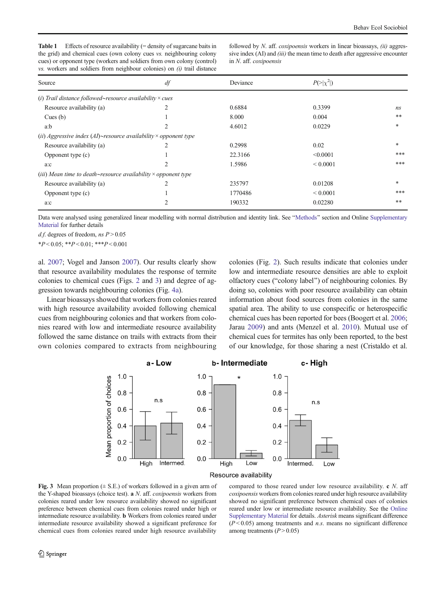<span id="page-5-0"></span>Table 1 Effects of resource availability (= density of sugarcane baits in the grid) and chemical cues (own colony cues vs. neighbouring colony cues) or opponent type (workers and soldiers from own colony (control)  $vs.$  workers and soldiers from neighbour colonies) on  $(i)$  trail distance

followed by  $N$ . aff. *coxipoensis* workers in linear bioassays,  $(ii)$  aggressive index (AI) and *(iii)* the mean time to death after aggressive encounter in N. aff. coxipoensis

| Source                                                                  | df             | Deviance | $P(>\vert \sqrt{2} \vert)$ |     |
|-------------------------------------------------------------------------|----------------|----------|----------------------------|-----|
| (i) Trail distance followed~resource availability $\times$ cues         |                |          |                            |     |
| Resource availability (a)                                               | 2              | 0.6884   | 0.3399                     | ns  |
| Cues $(b)$                                                              |                | 8.000    | 0.004                      | **  |
| a:b                                                                     | 2              | 4.6012   | 0.0229                     | *   |
| (ii) Aggressive index (AI)~resource availability $\times$ opponent type |                |          |                            |     |
| Resource availability (a)                                               |                | 0.2998   | 0.02                       | $*$ |
| Opponent type (c)                                                       |                | 22.3166  | < 0.0001                   | *** |
| a:c                                                                     | 2              | 1.5986   | ${}< 0.0001$               | *** |
| (iii) Mean time to death~resource availability $\times$ opponent type   |                |          |                            |     |
| Resource availability (a)                                               | $\mathfrak{D}$ | 235797   | 0.01208                    | $*$ |
| Opponent type (c)                                                       |                | 1770486  | ${}< 0.0001$               | *** |
| a:c                                                                     |                | 190332   | 0.02280                    | **  |

Data were analysed using generalized linear modelling with normal distribution and identity link. See "[Methods](#page-1-0)" section and Online Supplementary Material for further details

d.f. degrees of freedom,  $ns P > 0.05$ 

 $*P < 0.05$ ;  $*P < 0.01$ ;  $**P < 0.001$ 

al. [2007](#page-7-0); Vogel and Janson [2007\)](#page-8-0). Our results clearly show that resource availability modulates the response of termite colonies to chemical cues (Figs. [2](#page-4-0) and 3) and degree of aggression towards neighbouring colonies (Fig. [4a\)](#page-6-0).

Linear bioassays showed that workers from colonies reared with high resource availability avoided following chemical cues from neighbouring colonies and that workers from colonies reared with low and intermediate resource availability followed the same distance on trails with extracts from their own colonies compared to extracts from neighbouring

colonies (Fig. [2](#page-4-0)). Such results indicate that colonies under low and intermediate resource densities are able to exploit olfactory cues ("colony label") of neighbouring colonies. By doing so, colonies with poor resource availability can obtain information about food sources from colonies in the same spatial area. The ability to use conspecific or heterospecific chemical cues has been reported for bees (Boogert et al. [2006;](#page-7-0) Jarau [2009\)](#page-7-0) and ants (Menzel et al. [2010\)](#page-7-0). Mutual use of chemical cues for termites has only been reported, to the best of our knowledge, for those sharing a nest (Cristaldo et al.



Resource availability

Fig. 3 Mean proportion  $(\pm S.E.)$  of workers followed in a given arm of the Y-shaped bioassays (choice test). a N. aff. coxipoensis workers from colonies reared under low resource availability showed no significant preference between chemical cues from colonies reared under high or intermediate resource availability. b Workers from colonies reared under intermediate resource availability showed a significant preference for chemical cues from colonies reared under high resource availability compared to those reared under low resource availability.  $c$  N. aff coxipoensis workers from colonies reared under high resource availability showed no significant preference between chemical cues of colonies reared under low or intermediate resource availability. See the Online Supplementary Material for details. Asterisk means significant difference  $(P<0.05)$  among treatments and *n.s.* means no significant difference among treatments  $(P > 0.05)$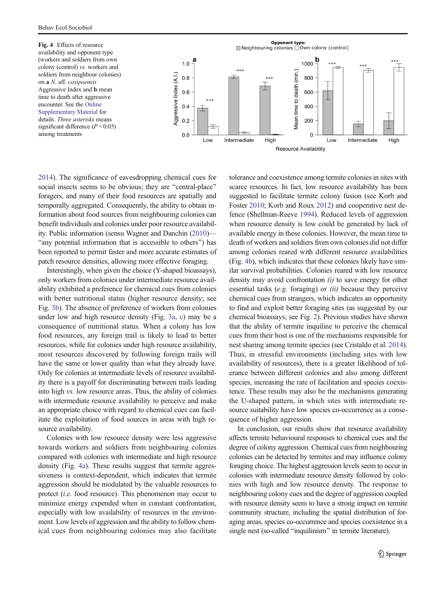<span id="page-6-0"></span>

[2014\)](#page-7-0). The significance of eavesdropping chemical cues for social insects seems to be obvious; they are "central-place" foragers, and many of their food resources are spatially and temporally aggregated. Consequently, the ability to obtain information about food sources from neighbouring colonies can benefit individuals and colonies under poor resource availability. Public information (sensu Wagner and Danchin [\(2010](#page-8-0))— "any potential information that is accessible to others") has been reported to permit faster and more accurate estimates of patch resource densities, allowing more effective foraging.

Interestingly, when given the choice (Y-shaped bioassays), only workers from colonies under intermediate resource availability exhibited a preference for chemical cues from colonies with better nutritional status (higher resource density; see Fig. [3b\)](#page-5-0). The absence of preference of workers from colonies under low and high resource density (Fig. [3a, c](#page-5-0)) may be a consequence of nutritional status. When a colony has low food resources, any foreign trail is likely to lead to better resources, while for colonies under high resource availability, most resources discovered by following foreign trails will have the same or lower quality than what they already have. Only for colonies at intermediate levels of resource availability there is a payoff for discriminating between trails leading into high vs. low resource areas. Thus, the ability of colonies with intermediate resource availability to perceive and make an appropriate choice with regard to chemical cues can facilitate the exploitation of food sources in areas with high resource availability.

Colonies with low resource density were less aggressive towards workers and soldiers from neighbouring colonies compared with colonies with intermediate and high resource density (Fig. 4a). These results suggest that termite aggressiveness is context-dependent, which indicates that termite aggression should be modulated by the valuable resources to protect (i.e. food resource). This phenomenon may occur to minimize energy expended when in constant confrontation, especially with low availability of resources in the environment. Low levels of aggression and the ability to follow chemical cues from neighbouring colonies may also facilitate tolerance and coexistence among termite colonies in sites with scarce resources. In fact, low resource availability has been suggested to facilitate termite colony fusion (see Korb and Foster [2010;](#page-7-0) Korb and Roux [2012](#page-7-0)) and cooperative nest defence (Shellman-Reeve [1994\)](#page-7-0). Reduced levels of aggression when resource density is low could be generated by lack of available energy in these colonies. However, the mean time to death of workers and soldiers from own colonies did not differ among colonies reared with different resource availabilities (Fig. 4b), which indicates that these colonies likely have similar survival probabilities. Colonies reared with low resource density may avoid confrontation (i) to save energy for other essential tasks (e.g. foraging) or  $(ii)$  because they perceive chemical cues from strangers, which indicates an opportunity to find and exploit better foraging sites (as suggested by our chemical bioassays; see Fig. [2\)](#page-4-0). Previous studies have shown that the ability of termite inquiline to perceive the chemical cues from their host is one of the mechanisms responsible for nest sharing among termite species (see Cristaldo et al. [2014\)](#page-7-0). Thus, in stressful environments (including sites with low availability of resources), there is a greater likelihood of tolerance between different colonies and also among different species, increasing the rate of facilitation and species coexistence. These results may also be the mechanisms generating the U-shaped pattern, in which sites with intermediate resource suitability have low species co-occurrence as a consequence of higher aggression.

In conclusion, our results show that resource availability affects termite behavioural responses to chemical cues and the degree of colony aggression. Chemical cues from neighbouring colonies can be detected by termites and may influence colony foraging choice. The highest aggression levels seem to occur in colonies with intermediate resource density followed by colonies with high and low resource density. The response to neighbouring colony cues and the degree of aggression coupled with resource density seem to have a strong impact on termite community structure, including the spatial distribution of foraging areas, species co-occurrence and species coexistence in a single nest (so-called "inquilinism" in termite literature).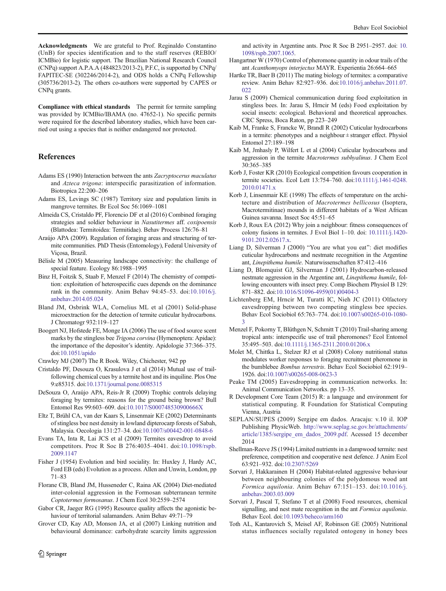<span id="page-7-0"></span>Acknowledgments We are grateful to Prof. Reginaldo Constantino (UnB) for species identification and to the staff reserves (REBIO/ ICMBio) for logistic support. The Brazilian National Research Council (CNPq) support A.P.A.A (484823/2013-2), P.F.C, is supported by CNPq/ FAPITEC-SE (302246/2014-2), and ODS holds a CNPq Fellowship (305736/2013-2). The others co-authors were supported by CAPES or CNPq grants.

Compliance with ethical standards The permit for termite sampling was provided by ICMBio/IBAMA (no. 47652-1). No specific permits were required for the described laboratory studies, which have been carried out using a species that is neither endangered nor protected.

# References

- Adams ES (1990) Interaction between the ants Zacryptocerus maculatus and Azteca trigona: interspecific parasitization of information. Biotropica 22:200–206
- Adams ES, Levings SC (1987) Territory size and population limits in mangrove termites. Br Ecol Soc 56:1069–1081
- Almeida CS, Cristaldo PF, Florencio DF et al (2016) Combined foraging strategies and soldier behaviour in Nasutitermes aff. coxipoensis (Blattodea: Termitoidea: Termitidae). Behav Process 126:76–81
- Araújo APA (2009). Regulation of foraging areas and structuring of termite communities. PhD Thesis (Entomology), Federal University of Viçosa, Brazil.
- Bélisle M (2005) Measuring landscape connectivity: the challenge of special feature. Ecology 86:1988–1995
- Binz H, Foitzik S, Staab F, Menzel F (2014) The chemistry of competition: exploitation of heterospecific cues depends on the dominance rank in the community. Anim Behav 94:45–53. doi[:10.1016/j.](http://dx.doi.org/10.1016/j.anbehav.2014.05.024) [anbehav.2014.05.024](http://dx.doi.org/10.1016/j.anbehav.2014.05.024)
- Bland JM, Osbrink WLA, Cornelius ML et al (2001) Solid-phase microextraction for the detection of termite cuticular hydrocarbons. J Chromatogr 932:119–127
- Boogert NJ, Hofstede FE, Monge IA (2006) The use of food source scent marks by the stingless bee Trigona corvina (Hymenoptera: Apidae): the importance of the depositor's identity. Apidologie 37:366–375. doi:[10.1051/apido](http://dx.doi.org/10.1051/apido)

Crawley MJ (2007) The R Book. Wiley, Chichester, 942 pp

- Cristaldo PF, Desouza O, Krasulova J et al (2014) Mutual use of trailfollowing chemical cues by a termite host and its inquiline. Plos One 9:e85315. doi:[10.1371/journal.pone.0085315](http://dx.doi.org/10.1371/journal.pone.0085315)
- DeSouza O, Araújo APA, Reis-Jr R (2009) Trophic controls delaying foraging by termites: reasons for the ground being brown? Bull Entomol Res 99:603–609. doi[:10.1017/S000748530900666X](http://dx.doi.org/10.1017/S000748530900666X)
- Eltz T, Brühl CA, van der Kaars S, Linsenmair KE (2002) Determinants of stingless bee nest density in lowland dipterocarp forests of Sabah, Malaysia. Oecologia 131:27–34. doi[:10.1007/s00442-001-0848-6](http://dx.doi.org/10.1007/s00442-001-0848-6)
- Evans TA, Inta R, Lai JCS et al (2009) Termites eavesdrop to avoid competitors. Proc R Soc B 276:4035–4041. doi[:10.1098/rspb.](http://dx.doi.org/10.1098/rspb.2009.1147) [2009.1147](http://dx.doi.org/10.1098/rspb.2009.1147)
- Fisher J (1954) Evolution and bird sociality. In: Huxley J, Hardy AC, Ford EB (eds) Evolution as a process. Allen and Unwin, London, pp 71–83
- Florane CB, Bland JM, Husseneder C, Raina AK (2004) Diet-mediated inter-colonial aggression in the Formosan subterranean termite Coptotermes formosanus. J Chem Ecol 30:2559–2574
- Gabor CR, Jaeger RG (1995) Resource quality affects the agonistic behaviour of territorial salamanders. Anim Behav 49:71–79
- Grover CD, Kay AD, Monson JA, et al (2007) Linking nutrition and behavioural dominance: carbohydrate scarcity limits aggression

and activity in Argentine ants. Proc R Soc B 2951–2957. doi: [10.](http://dx.doi.org/10.1098/rspb.2007.1065) [1098/rspb.2007.1065](http://dx.doi.org/10.1098/rspb.2007.1065).

- Hangartner W (1970) Control of pheromone quantity in odour trails of the ant Acanthomyops interjectus MAYR. Experientia 26:664–665
- Hartke TR, Baer B (2011) The mating biology of termites: a comparative review. Anim Behav 82:927–936. doi[:10.1016/j.anbehav.2011.07.](http://dx.doi.org/10.1016/j.anbehav.2011.07.022) [022](http://dx.doi.org/10.1016/j.anbehav.2011.07.022)
- Jarau S (2009) Chemical communication during food exploitation in stingless bees. In: Jarau S, Hrncir M (eds) Food exploitation by social insects: ecological. Behavioral and theoretical approaches. CRC Spress, Boca Raton, pp 223–249
- Kaib M, Franke S, Francke W, Brandl R (2002) Cuticular hydrocarbons in a termite: phenotypes and a neighbour  $\pm$  stranger effect. Physiol Entomol 27:189–198
- Kaib M, Jmhasly P, Wilfert L et al (2004) Cuticular hydrocarbons and aggression in the termite Macrotermes subhyalinus. J Chem Ecol 30:365–385
- Korb J, Foster KR (2010) Ecological competition favours cooperation in termite societies. Ecol Lett 13:754–760. doi:[10.1111/j.1461-0248.](http://dx.doi.org/10.1111/j.1461-0248.2010.01471.x) [2010.01471.x](http://dx.doi.org/10.1111/j.1461-0248.2010.01471.x)
- Korb J, Linsenmair KE (1998) The effects of temperature on the architecture and distribution of Macrotermes bellicosus (Isoptera, Macrotermitinae) mounds in different habitats of a West African Guinea savanna. Insect Soc 45:51–65
- Korb J, Roux EA (2012) Why join a neighbour: fitness consequences of colony fusions in termites. J Evol Biol 1–10. doi: [10.1111/j.1420-](http://dx.doi.org/10.1111/j.1420-9101.2012.02617.x) [9101.2012.02617.x](http://dx.doi.org/10.1111/j.1420-9101.2012.02617.x).
- Liang D, Silverman J (2000) "You are what you eat": diet modifies cuticular hydrocarbons and nestmate recognition in the Argentine ant, Linepithema humile. Naturwissenschaften 87:412–416
- Liang D, Blomquist GJ, Silverman J (2001) Hydrocarbon-released nestmate aggression in the Argentine ant, Linepithema humile, following encounters with insect prey. Comp Biochem Physiol B 129: 871–882. doi[:10.1016/S1096-4959\(01\)00404-3](http://dx.doi.org/10.1016/S1096-4959(01)00404-3)
- Lichtenberg EM, Hrncir M, Turatti IC, Nieh JC (2011) Olfactory eavesdropping between two competing stingless bee species. Behav Ecol Sociobiol 65:763–774. doi[:10.1007/s00265-010-1080-](http://dx.doi.org/10.1007/s00265-010-1080-3) [3](http://dx.doi.org/10.1007/s00265-010-1080-3)
- Menzel F, Pokorny T, Blüthgen N, Schmitt T (2010) Trail-sharing among tropical ants: interspecific use of trail pheromones? Ecol Entomol 35:495–503. doi[:10.1111/j.1365-2311.2010.01206.x](http://dx.doi.org/10.1111/j.1365-2311.2010.01206.x)
- Molet M, Chittka L, Stelzer RJ et al (2008) Colony nutritional status modulates worker responses to foraging recruitment pheromone in the bumblebee Bombus terrestris. Behav Ecol Sociobiol 62:1919-1926. doi:[10.1007/s00265-008-0623-3](http://dx.doi.org/10.1007/s00265-008-0623-3)
- Peake TM (2005) Eavesdropping in communication networks. In: Animal Communication Networks. pp 13–35.
- R Development Core Team (2015) R: a language and environment for statistical computing. R Foundation for Statistical Computing Vienna, Austria
- SEPLAN/SUPES (2009) Sergipe em dados. Aracaju: v.10 il. IOP Publishing PhysicWeb. [http://www.seplag.se.gov.br/attachments/](http://www.seplag.se.gov.br/attachments/article/1385/sergipe_em_dados_2009.pdf) [article/1385/sergipe\\_em\\_dados\\_2009.pdf](http://www.seplag.se.gov.br/attachments/article/1385/sergipe_em_dados_2009.pdf). Acessed 15 december 2014
- Shellman-Reeve JS (1994) Limited nutrients in a dampwood termite: nest preference, competition and cooperative nest defence. J Anim Ecol 63:921–932. doi[:10.2307/5269](http://dx.doi.org/10.2307/5269)
- Sorvari J, Hakkarainen H (2004) Habitat-related aggressive behaviour between neighbouring colonies of the polydomous wood ant Formica aquilonia. Anim Behav 67:151–153. doi:[10.1016/j.](http://dx.doi.org/10.1016/j.anbehav.2003.03.009) [anbehav.2003.03.009](http://dx.doi.org/10.1016/j.anbehav.2003.03.009)
- Sorvari J, Pascal T, Stefano T et al (2008) Food resources, chemical signalling, and nest mate recognition in the ant Formica aquilonia. Behav Ecol. doi[:10.1093/beheco/arm160](http://dx.doi.org/10.1093/beheco/arm160)
- Toth AL, Kantarovich S, Meisel AF, Robinson GE (2005) Nutritional status influences socially regulated ontogeny in honey bees